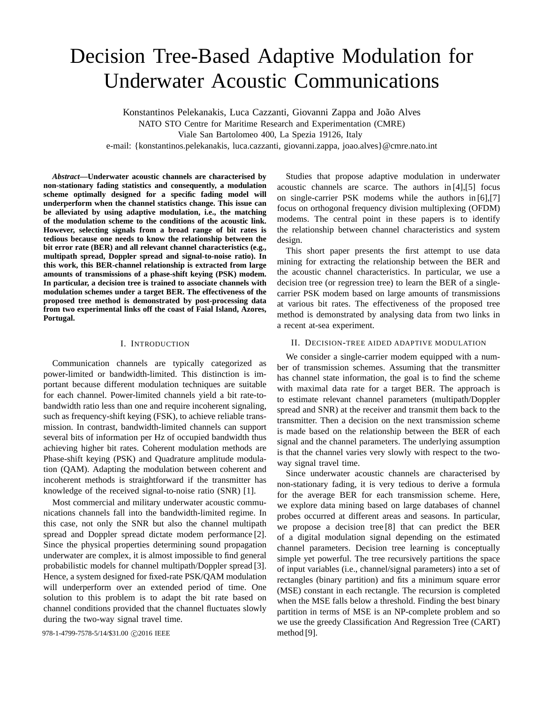# Decision Tree-Based Adaptive Modulation for Underwater Acoustic Communications

Konstantinos Pelekanakis, Luca Cazzanti, Giovanni Zappa and João Alves

NATO STO Centre for Maritime Research and Experimentation (CMRE)

Viale San Bartolomeo 400, La Spezia 19126, Italy

e-mail: {konstantinos.pelekanakis, luca.cazzanti, giovanni.zappa, joao.alves}@cmre.nato.int

*Abstract***—Underwater acoustic channels are characterised by non-stationary fading statistics and consequently, a modulation scheme optimally designed for a specific fading model will underperform when the channel statistics change. This issue can be alleviated by using adaptive modulation, i.e., the matching of the modulation scheme to the conditions of the acoustic link. However, selecting signals from a broad range of bit rates is tedious because one needs to know the relationship between the bit error rate (BER) and all relevant channel characteristics (e.g., multipath spread, Doppler spread and signal-to-noise ratio). In this work, this BER-channel relationship is extracted from large amounts of transmissions of a phase-shift keying (PSK) modem. In particular, a decision tree is trained to associate channels with modulation schemes under a target BER. The effectiveness of the proposed tree method is demonstrated by post-processing data from two experimental links off the coast of Faial Island, Azores, Portugal.**

### I. INTRODUCTION

Communication channels are typically categorized as power-limited or bandwidth-limited. This distinction is important because different modulation techniques are suitable for each channel. Power-limited channels yield a bit rate-tobandwidth ratio less than one and require incoherent signaling, such as frequency-shift keying (FSK), to achieve reliable transmission. In contrast, bandwidth-limited channels can support several bits of information per Hz of occupied bandwidth thus achieving higher bit rates. Coherent modulation methods are Phase-shift keying (PSK) and Quadrature amplitude modulation (QAM). Adapting the modulation between coherent and incoherent methods is straightforward if the transmitter has knowledge of the received signal-to-noise ratio (SNR) [1].

Most commercial and military underwater acoustic communications channels fall into the bandwidth-limited regime. In this case, not only the SNR but also the channel multipath spread and Doppler spread dictate modem performance [2]. Since the physical properties determining sound propagation underwater are complex, it is almost impossible to find general probabilistic models for channel multipath/Doppler spread [3]. Hence, a system designed for fixed-rate PSK/QAM modulation will underperform over an extended period of time. One solution to this problem is to adapt the bit rate based on channel conditions provided that the channel fluctuates slowly during the two-way signal travel time.

978-1-4799-7578-5/14/\$31.00 © 2016 IEEE method [9].

Studies that propose adaptive modulation in underwater acoustic channels are scarce. The authors in [4],[5] focus on single-carrier PSK modems while the authors in [6],[7] focus on orthogonal frequency division multiplexing (OFDM) modems. The central point in these papers is to identify the relationship between channel characteristics and system design.

This short paper presents the first attempt to use data mining for extracting the relationship between the BER and the acoustic channel characteristics. In particular, we use a decision tree (or regression tree) to learn the BER of a singlecarrier PSK modem based on large amounts of transmissions at various bit rates. The effectiveness of the proposed tree method is demonstrated by analysing data from two links in a recent at-sea experiment.

## II. DECISION-TREE AIDED ADAPTIVE MODULATION

We consider a single-carrier modem equipped with a number of transmission schemes. Assuming that the transmitter has channel state information, the goal is to find the scheme with maximal data rate for a target BER. The approach is to estimate relevant channel parameters (multipath/Doppler spread and SNR) at the receiver and transmit them back to the transmitter. Then a decision on the next transmission scheme is made based on the relationship between the BER of each signal and the channel parameters. The underlying assumption is that the channel varies very slowly with respect to the twoway signal travel time.

Since underwater acoustic channels are characterised by non-stationary fading, it is very tedious to derive a formula for the average BER for each transmission scheme. Here, we explore data mining based on large databases of channel probes occurred at different areas and seasons. In particular, we propose a decision tree [8] that can predict the BER of a digital modulation signal depending on the estimated channel parameters. Decision tree learning is conceptually simple yet powerful. The tree recursively partitions the space of input variables (i.e., channel/signal parameters) into a set of rectangles (binary partition) and fits a minimum square error (MSE) constant in each rectangle. The recursion is completed when the MSE falls below a threshold. Finding the best binary partition in terms of MSE is an NP-complete problem and so we use the greedy Classification And Regression Tree (CART)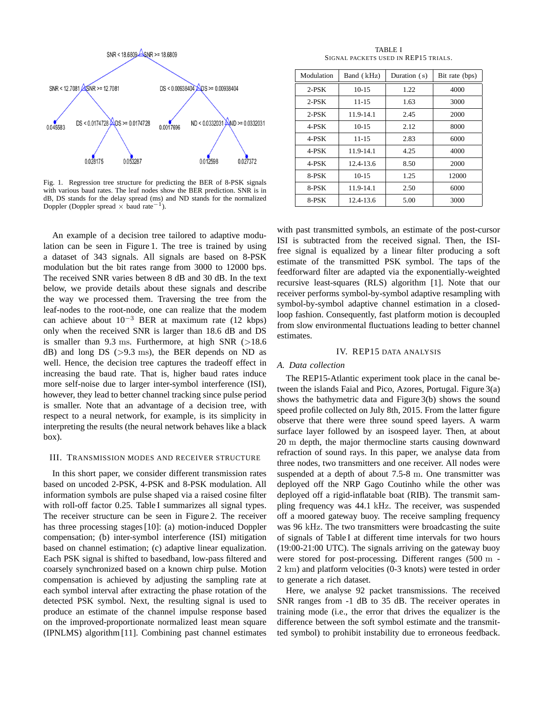

Fig. 1. Regression tree structure for predicting the BER of 8-PSK signals with various baud rates. The leaf nodes show the BER prediction. SNR is in dB, DS stands for the delay spread (ms) and ND stands for the normalized Doppler (Doppler spread  $\times$  baud rate<sup>-1</sup>).

An example of a decision tree tailored to adaptive modulation can be seen in Figure 1. The tree is trained by using a dataset of 343 signals. All signals are based on 8-PSK modulation but the bit rates range from 3000 to 12000 bps. The received SNR varies between 8 dB and 30 dB. In the text below, we provide details about these signals and describe the way we processed them. Traversing the tree from the leaf-nodes to the root-node, one can realize that the modem can achieve about  $10^{-3}$  BER at maximum rate (12 kbps) only when the received SNR is larger than 18.6 dB and DS is smaller than 9.3 ms. Furthermore, at high SNR  $(>18.6$  $dB$ ) and long DS ( $>9.3$  ms), the BER depends on ND as well. Hence, the decision tree captures the tradeoff effect in increasing the baud rate. That is, higher baud rates induce more self-noise due to larger inter-symbol interference (ISI), however, they lead to better channel tracking since pulse period is smaller. Note that an advantage of a decision tree, with respect to a neural network, for example, is its simplicity in interpreting the results (the neural network behaves like a black box).

## III. TRANSMISSION MODES AND RECEIVER STRUCTURE

In this short paper, we consider different transmission rates based on uncoded 2-PSK, 4-PSK and 8-PSK modulation. All information symbols are pulse shaped via a raised cosine filter with roll-off factor 0.25. Table I summarizes all signal types. The receiver structure can be seen in Figure 2. The receiver has three processing stages [10]: (a) motion-induced Doppler compensation; (b) inter-symbol interference (ISI) mitigation based on channel estimation; (c) adaptive linear equalization. Each PSK signal is shifted to basedband, low-pass filtered and coarsely synchronized based on a known chirp pulse. Motion compensation is achieved by adjusting the sampling rate at each symbol interval after extracting the phase rotation of the detected PSK symbol. Next, the resulting signal is used to produce an estimate of the channel impulse response based on the improved-proportionate normalized least mean square (IPNLMS) algorithm [11]. Combining past channel estimates

TABLE I SIGNAL PACKETS USED IN REP15 TRIALS.

| Modulation | Band (kHz) | Duration (s) | Bit rate (bps) |
|------------|------------|--------------|----------------|
| $2-PSK$    | $10 - 15$  | 1.22         | 4000           |
| $2-PSK$    | $11 - 15$  | 1.63         | 3000           |
| $2-PSK$    | 11.9-14.1  | 2.45         | 2000           |
| 4-PSK      | $10 - 15$  | 2.12         | 8000           |
| 4-PSK      | $11 - 15$  | 2.83         | 6000           |
| 4-PSK      | 11.9-14.1  | 4.25         | 4000           |
| 4-PSK      | 12.4-13.6  | 8.50         | 2000           |
| 8-PSK      | $10 - 15$  | 1.25         | 12000          |
| 8-PSK      | 11.9-14.1  | 2.50         | 6000           |
| 8-PSK      | 12.4-13.6  | 5.00         | 3000           |

with past transmitted symbols, an estimate of the post-cursor ISI is subtracted from the received signal. Then, the ISIfree signal is equalized by a linear filter producing a soft estimate of the transmitted PSK symbol. The taps of the feedforward filter are adapted via the exponentially-weighted recursive least-squares (RLS) algorithm [1]. Note that our receiver performs symbol-by-symbol adaptive resampling with symbol-by-symbol adaptive channel estimation in a closedloop fashion. Consequently, fast platform motion is decoupled from slow environmental fluctuations leading to better channel estimates.

## IV. REP15 DATA ANALYSIS

## *A. Data collection*

The REP15-Atlantic experiment took place in the canal between the islands Faial and Pico, Azores, Portugal. Figure 3(a) shows the bathymetric data and Figure 3(b) shows the sound speed profile collected on July 8th, 2015. From the latter figure observe that there were three sound speed layers. A warm surface layer followed by an isospeed layer. Then, at about 20 m depth, the major thermocline starts causing downward refraction of sound rays. In this paper, we analyse data from three nodes, two transmitters and one receiver. All nodes were suspended at a depth of about 7.5-8 m. One transmitter was deployed off the NRP Gago Coutinho while the other was deployed off a rigid-inflatable boat (RIB). The transmit sampling frequency was 44.1 kHz. The receiver, was suspended off a moored gateway buoy. The receive sampling frequency was 96 kHz. The two transmitters were broadcasting the suite of signals of Table I at different time intervals for two hours (19:00-21:00 UTC). The signals arriving on the gateway buoy were stored for post-processing. Different ranges (500 m - 2 km) and platform velocities (0-3 knots) were tested in order to generate a rich dataset.

Here, we analyse 92 packet transmissions. The received SNR ranges from -1 dB to 35 dB. The receiver operates in training mode (i.e., the error that drives the equalizer is the difference between the soft symbol estimate and the transmitted symbol) to prohibit instability due to erroneous feedback.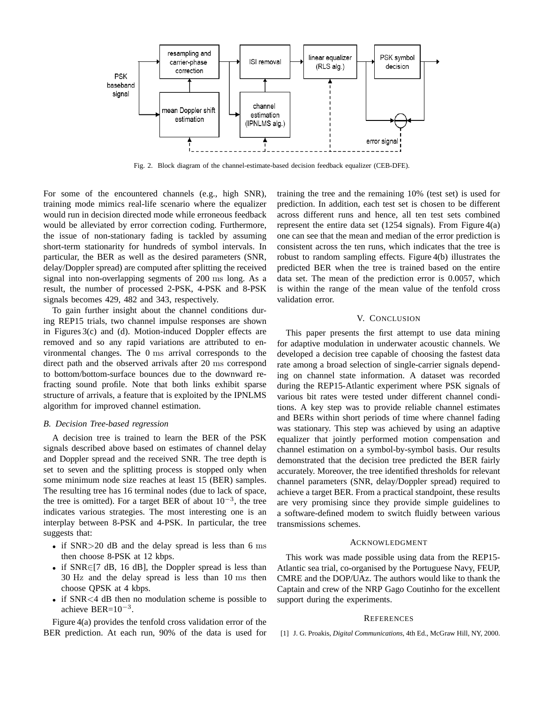

Fig. 2. Block diagram of the channel-estimate-based decision feedback equalizer (CEB-DFE).

For some of the encountered channels (e.g., high SNR), training mode mimics real-life scenario where the equalizer would run in decision directed mode while erroneous feedback would be alleviated by error correction coding. Furthermore, the issue of non-stationary fading is tackled by assuming short-term stationarity for hundreds of symbol intervals. In particular, the BER as well as the desired parameters (SNR, delay/Doppler spread) are computed after splitting the received signal into non-overlapping segments of 200 ms long. As a result, the number of processed 2-PSK, 4-PSK and 8-PSK signals becomes 429, 482 and 343, respectively.

To gain further insight about the channel conditions during REP15 trials, two channel impulse responses are shown in Figures 3(c) and (d). Motion-induced Doppler effects are removed and so any rapid variations are attributed to environmental changes. The 0 ms arrival corresponds to the direct path and the observed arrivals after 20 ms correspond to bottom/bottom-surface bounces due to the downward refracting sound profile. Note that both links exhibit sparse structure of arrivals, a feature that is exploited by the IPNLMS algorithm for improved channel estimation.

## *B. Decision Tree-based regression*

A decision tree is trained to learn the BER of the PSK signals described above based on estimates of channel delay and Doppler spread and the received SNR. The tree depth is set to seven and the splitting process is stopped only when some minimum node size reaches at least 15 (BER) samples. The resulting tree has 16 terminal nodes (due to lack of space, the tree is omitted). For a target BER of about  $10^{-3}$ , the tree indicates various strategies. The most interesting one is an interplay between 8-PSK and 4-PSK. In particular, the tree suggests that:

- if SNR>20 dB and the delay spread is less than 6 ms then choose 8-PSK at 12 kbps.
- if  $SNR \in [7 \text{ dB}, 16 \text{ dB}]$ , the Doppler spread is less than 30 Hz and the delay spread is less than 10 ms then choose QPSK at 4 kbps.
- if SNR<4 dB then no modulation scheme is possible to achieve BER= $10^{-3}$ .

Figure 4(a) provides the tenfold cross validation error of the BER prediction. At each run, 90% of the data is used for training the tree and the remaining 10% (test set) is used for prediction. In addition, each test set is chosen to be different across different runs and hence, all ten test sets combined represent the entire data set  $(1254 \text{ signals})$ . From Figure  $4(a)$ one can see that the mean and median of the error prediction is consistent across the ten runs, which indicates that the tree is robust to random sampling effects. Figure 4(b) illustrates the predicted BER when the tree is trained based on the entire data set. The mean of the prediction error is 0.0057, which is within the range of the mean value of the tenfold cross validation error.

## V. CONCLUSION

This paper presents the first attempt to use data mining for adaptive modulation in underwater acoustic channels. We developed a decision tree capable of choosing the fastest data rate among a broad selection of single-carrier signals depending on channel state information. A dataset was recorded during the REP15-Atlantic experiment where PSK signals of various bit rates were tested under different channel conditions. A key step was to provide reliable channel estimates and BERs within short periods of time where channel fading was stationary. This step was achieved by using an adaptive equalizer that jointly performed motion compensation and channel estimation on a symbol-by-symbol basis. Our results demonstrated that the decision tree predicted the BER fairly accurately. Moreover, the tree identified thresholds for relevant channel parameters (SNR, delay/Doppler spread) required to achieve a target BER. From a practical standpoint, these results are very promising since they provide simple guidelines to a software-defined modem to switch fluidly between various transmissions schemes.

## ACKNOWLEDGMENT

This work was made possible using data from the REP15- Atlantic sea trial, co-organised by the Portuguese Navy, FEUP, CMRE and the DOP/UAz. The authors would like to thank the Captain and crew of the NRP Gago Coutinho for the excellent support during the experiments.

#### **REFERENCES**

[1] J. G. Proakis, *Digital Communications*, 4th Ed., McGraw Hill, NY, 2000.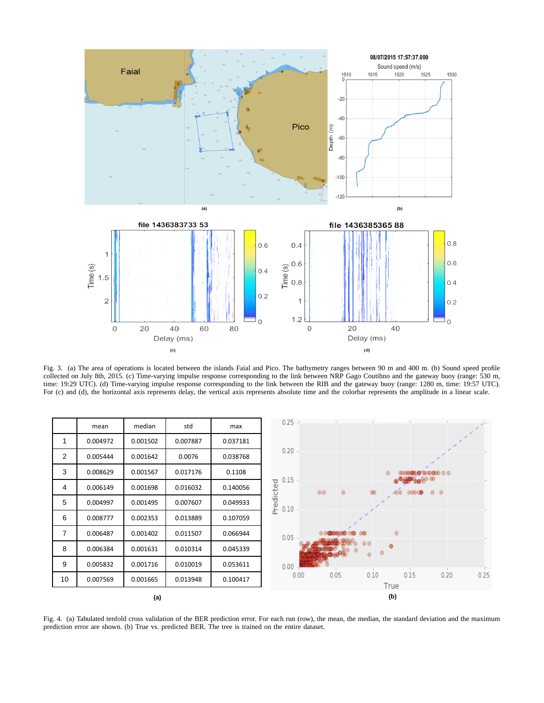

Fig. 3. (a) The area of operations is located between the islands Faial and Pico. The bathymetry ranges between 90 m and 400 m. (b) Sound speed profile collected on July 8th, 2015. (c) Time-varying impulse response corresponding to the link between NRP Gago Coutihno and the gateway buoy (range: 530 m, time: 19:29 UTC). (d) Time-varying impulse response corresponding to the link between the RIB and the gateway buoy (range: 1280 m, time: 19:57 UTC). For (c) and (d), the horizontal axis represents delay, the vertical axis represents absolute time and the colorbar represents the amplitude in a linear scale.



Fig. 4. (a) Tabulated tenfold cross validation of the BER prediction error. For each run (row), the mean, the median, the standard deviation and the maximum prediction error are shown. (b) True vs. predicted BER. The tree is trained on the entire dataset.